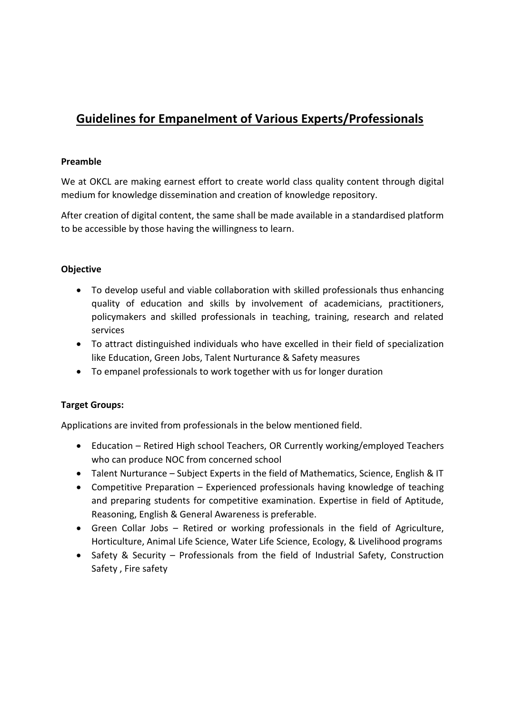# **Guidelines for Empanelment of Various Experts/Professionals**

### **Preamble**

We at OKCL are making earnest effort to create world class quality content through digital medium for knowledge dissemination and creation of knowledge repository.

After creation of digital content, the same shall be made available in a standardised platform to be accessible by those having the willingness to learn.

# **Objective**

- To develop useful and viable collaboration with skilled professionals thus enhancing quality of education and skills by involvement of academicians, practitioners, policymakers and skilled professionals in teaching, training, research and related services
- To attract distinguished individuals who have excelled in their field of specialization like Education, Green Jobs, Talent Nurturance & Safety measures
- To empanel professionals to work together with us for longer duration

# **Target Groups:**

Applications are invited from professionals in the below mentioned field.

- Education Retired High school Teachers, OR Currently working/employed Teachers who can produce NOC from concerned school
- Talent Nurturance Subject Experts in the field of Mathematics, Science, English & IT
- Competitive Preparation Experienced professionals having knowledge of teaching and preparing students for competitive examination. Expertise in field of Aptitude, Reasoning, English & General Awareness is preferable.
- Green Collar Jobs Retired or working professionals in the field of Agriculture, Horticulture, Animal Life Science, Water Life Science, Ecology, & Livelihood programs
- Safety & Security Professionals from the field of Industrial Safety, Construction Safety , Fire safety